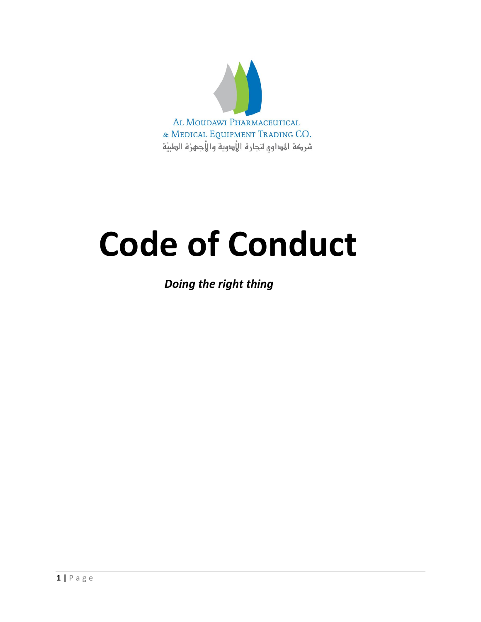

# **Code of Conduct**

 *Doing the right thing*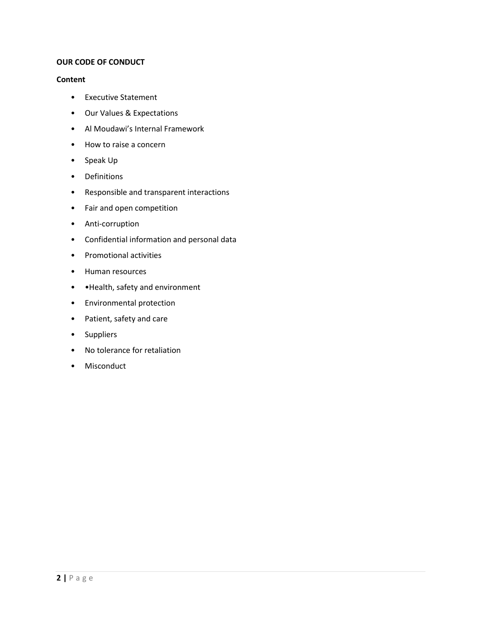# **OUR CODE OF CONDUCT**

# **Content**

- Executive Statement
- Our Values & Expectations
- Al Moudawi's Internal Framework
- How to raise a concern
- Speak Up
- Definitions
- Responsible and transparent interactions
- Fair and open competition
- Anti-corruption
- Confidential information and personal data
- Promotional activities
- Human resources
- •Health, safety and environment
- Environmental protection
- Patient, safety and care
- Suppliers
- No tolerance for retaliation
- Misconduct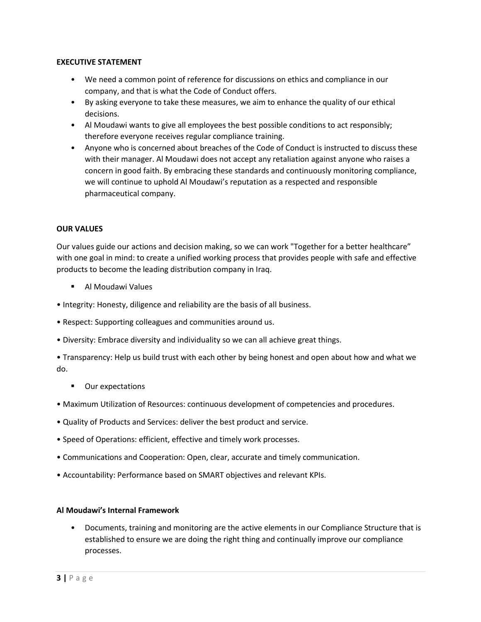# **EXECUTIVE STATEMENT**

- We need a common point of reference for discussions on ethics and compliance in our company, and that is what the Code of Conduct offers.
- By asking everyone to take these measures, we aim to enhance the quality of our ethical decisions.
- Al Moudawi wants to give all employees the best possible conditions to act responsibly; therefore everyone receives regular compliance training.
- Anyone who is concerned about breaches of the Code of Conduct is instructed to discuss these with their manager. Al Moudawi does not accept any retaliation against anyone who raises a concern in good faith. By embracing these standards and continuously monitoring compliance, we will continue to uphold Al Moudawi's reputation as a respected and responsible pharmaceutical company.

# **OUR VALUES**

Our values guide our actions and decision making, so we can work "Together for a better healthcare" with one goal in mind: to create a unified working process that provides people with safe and effective products to become the leading distribution company in Iraq.

- Al Moudawi Values
- Integrity: Honesty, diligence and reliability are the basis of all business.
- Respect: Supporting colleagues and communities around us.
- Diversity: Embrace diversity and individuality so we can all achieve great things.

• Transparency: Help us build trust with each other by being honest and open about how and what we do.

- Our expectations
- Maximum Utilization of Resources: continuous development of competencies and procedures.
- Quality of Products and Services: deliver the best product and service.
- Speed of Operations: efficient, effective and timely work processes.
- Communications and Cooperation: Open, clear, accurate and timely communication.
- Accountability: Performance based on SMART objectives and relevant KPIs.

# **Al Moudawi's Internal Framework**

• Documents, training and monitoring are the active elements in our Compliance Structure that is established to ensure we are doing the right thing and continually improve our compliance processes.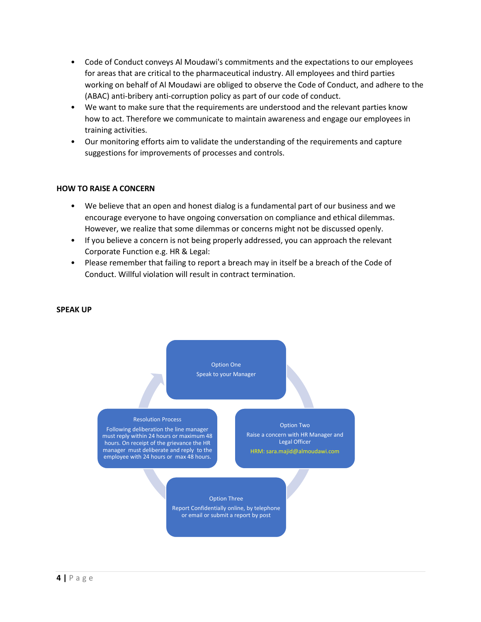- Code of Conduct conveys Al Moudawi's commitments and the expectations to our employees for areas that are critical to the pharmaceutical industry. All employees and third parties working on behalf of Al Moudawi are obliged to observe the Code of Conduct, and adhere to the (ABAC) anti-bribery anti-corruption policy as part of our code of conduct.
- We want to make sure that the requirements are understood and the relevant parties know how to act. Therefore we communicate to maintain awareness and engage our employees in training activities.
- Our monitoring efforts aim to validate the understanding of the requirements and capture suggestions for improvements of processes and controls.

#### **HOW TO RAISE A CONCERN**

- We believe that an open and honest dialog is a fundamental part of our business and we encourage everyone to have ongoing conversation on compliance and ethical dilemmas. However, we realize that some dilemmas or concerns might not be discussed openly.
- If you believe a concern is not being properly addressed, you can approach the relevant Corporate Function e.g. HR & Legal:
- Please remember that failing to report a breach may in itself be a breach of the Code of Conduct. Willful violation will result in contract termination.

#### **SPEAK UP**

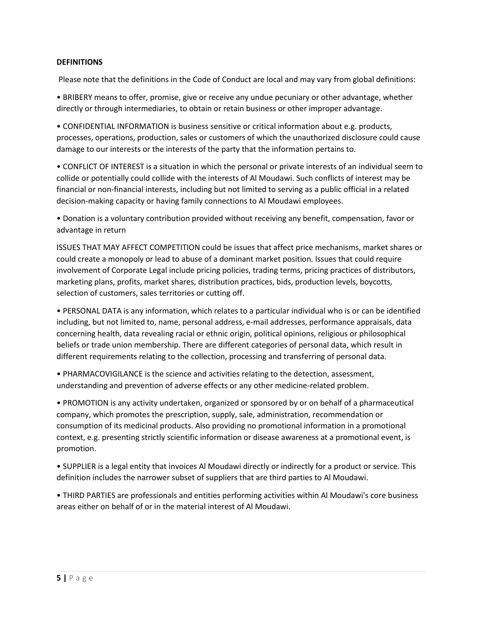# **DEFINITIONS**

Please note that the definitions in the Code of Conduct are local and may vary from global definitions:

• BRIBERY means to offer, promise, give or receive any undue pecuniary or other advantage, whether directly or through intermediaries, to obtain or retain business or other improper advantage.

• CONFIDENTIAL INFORMATION is business sensitive or critical information about e.g. products, processes, operations, production, sales or customers of which the unauthorized disclosure could cause damage to our interests or the interests of the party that the information pertains to.

• CONFLICT OF INTEREST is a situation in which the personal or private interests of an individual seem to collide or potentially could collide with the interests of Al Moudawi. Such conflicts of interest may be financial or non-financial interests, including but not limited to serving as a public official in a related decision-making capacity or having family connections to Al Moudawi employees.

• Donation is a voluntary contribution provided without receiving any benefit, compensation, favor or advantage in return

ISSUES THAT MAY AFFECT COMPETITION could be issues that affect price mechanisms, market shares or could create a monopoly or lead to abuse of a dominant market position. Issues that could require involvement of Corporate Legal include pricing policies, trading terms, pricing practices of distributors, marketing plans, profits, market shares, distribution practices, bids, production levels, boycotts, selection of customers, sales territories or cutting off.

• PERSONAL DATA is any information, which relates to a particular individual who is or can be identified including, but not limited to, name, personal address, e-mail addresses, performance appraisals, data concerning health, data revealing racial or ethnic origin, political opinions, religious or philosophical beliefs or trade union membership. There are different categories of personal data, which result in different requirements relating to the collection, processing and transferring of personal data.

• PHARMACOVIGILANCE is the science and activities relating to the detection, assessment, understanding and prevention of adverse effects or any other medicine-related problem.

• PROMOTION is any activity undertaken, organized or sponsored by or on behalf of a pharmaceutical company, which promotes the prescription, supply, sale, administration, recommendation or consumption of its medicinal products. Also providing no promotional information in a promotional context, e.g. presenting strictly scientific information or disease awareness at a promotional event, is promotion.

• SUPPLIER is a legal entity that invoices Al Moudawi directly or indirectly for a product or service. This definition includes the narrower subset of suppliers that are third parties to Al Moudawi.

• THIRD PARTIES are professionals and entities performing activities within Al Moudawi's core business areas either on behalf of or in the material interest of Al Moudawi.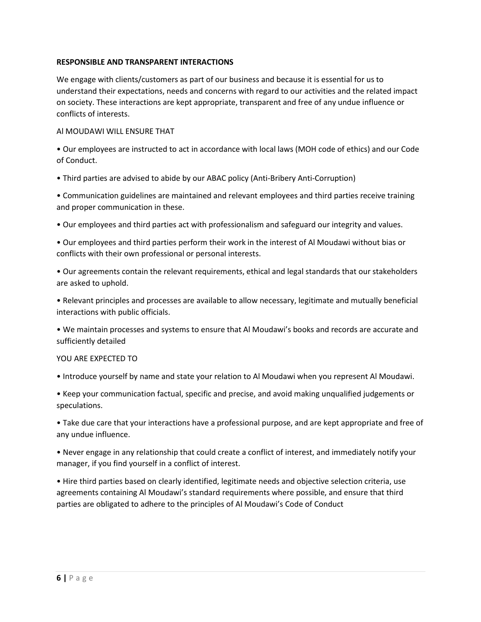# **RESPONSIBLE AND TRANSPARENT INTERACTIONS**

We engage with clients/customers as part of our business and because it is essential for us to understand their expectations, needs and concerns with regard to our activities and the related impact on society. These interactions are kept appropriate, transparent and free of any undue influence or conflicts of interests.

# Al MOUDAWI WILL ENSURE THAT

• Our employees are instructed to act in accordance with local laws (MOH code of ethics) and our Code of Conduct.

• Third parties are advised to abide by our ABAC policy (Anti-Bribery Anti-Corruption)

• Communication guidelines are maintained and relevant employees and third parties receive training and proper communication in these.

• Our employees and third parties act with professionalism and safeguard our integrity and values.

• Our employees and third parties perform their work in the interest of Al Moudawi without bias or conflicts with their own professional or personal interests.

• Our agreements contain the relevant requirements, ethical and legal standards that our stakeholders are asked to uphold.

• Relevant principles and processes are available to allow necessary, legitimate and mutually beneficial interactions with public officials.

• We maintain processes and systems to ensure that Al Moudawi's books and records are accurate and sufficiently detailed

# YOU ARE EXPECTED TO

• Introduce yourself by name and state your relation to Al Moudawi when you represent Al Moudawi.

• Keep your communication factual, specific and precise, and avoid making unqualified judgements or speculations.

• Take due care that your interactions have a professional purpose, and are kept appropriate and free of any undue influence.

• Never engage in any relationship that could create a conflict of interest, and immediately notify your manager, if you find yourself in a conflict of interest.

• Hire third parties based on clearly identified, legitimate needs and objective selection criteria, use agreements containing Al Moudawi's standard requirements where possible, and ensure that third parties are obligated to adhere to the principles of Al Moudawi's Code of Conduct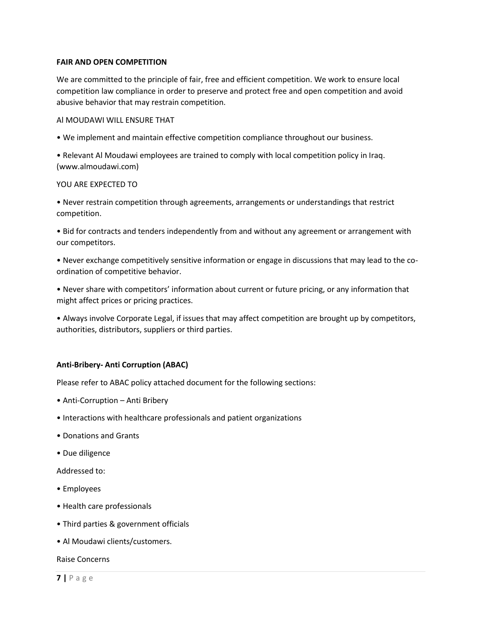# **FAIR AND OPEN COMPETITION**

We are committed to the principle of fair, free and efficient competition. We work to ensure local competition law compliance in order to preserve and protect free and open competition and avoid abusive behavior that may restrain competition.

#### Al MOUDAWI WILL ENSURE THAT

• We implement and maintain effective competition compliance throughout our business.

• Relevant Al Moudawi employees are trained to comply with local competition policy in Iraq. (www.almoudawi.com)

#### YOU ARE EXPECTED TO

• Never restrain competition through agreements, arrangements or understandings that restrict competition.

• Bid for contracts and tenders independently from and without any agreement or arrangement with our competitors.

• Never exchange competitively sensitive information or engage in discussions that may lead to the coordination of competitive behavior.

• Never share with competitors' information about current or future pricing, or any information that might affect prices or pricing practices.

• Always involve Corporate Legal, if issues that may affect competition are brought up by competitors, authorities, distributors, suppliers or third parties.

#### **Anti-Bribery- Anti Corruption (ABAC)**

Please refer to ABAC policy attached document for the following sections:

- Anti-Corruption Anti Bribery
- Interactions with healthcare professionals and patient organizations
- Donations and Grants
- Due diligence

Addressed to:

- Employees
- Health care professionals
- Third parties & government officials
- Al Moudawi clients/customers.

Raise Concerns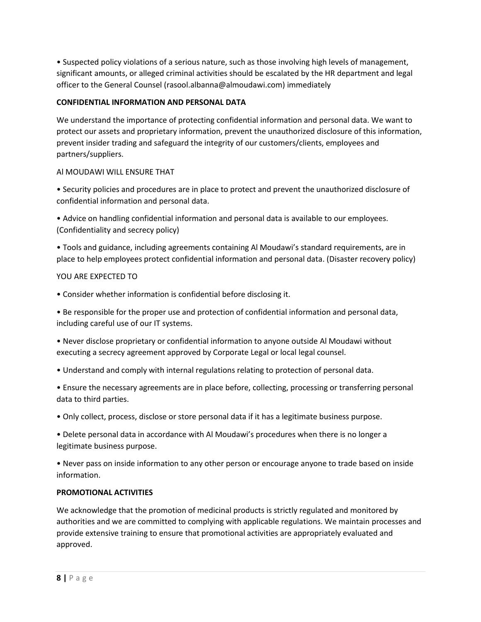• Suspected policy violations of a serious nature, such as those involving high levels of management, significant amounts, or alleged criminal activities should be escalated by the HR department and legal officer to the General Counsel (rasool.albanna@almoudawi.com) immediately

# **CONFIDENTIAL INFORMATION AND PERSONAL DATA**

We understand the importance of protecting confidential information and personal data. We want to protect our assets and proprietary information, prevent the unauthorized disclosure of this information, prevent insider trading and safeguard the integrity of our customers/clients, employees and partners/suppliers.

# Al MOUDAWI WILL ENSURE THAT

• Security policies and procedures are in place to protect and prevent the unauthorized disclosure of confidential information and personal data.

• Advice on handling confidential information and personal data is available to our employees. (Confidentiality and secrecy policy)

• Tools and guidance, including agreements containing Al Moudawi's standard requirements, are in place to help employees protect confidential information and personal data. (Disaster recovery policy)

# YOU ARE EXPECTED TO

• Consider whether information is confidential before disclosing it.

• Be responsible for the proper use and protection of confidential information and personal data, including careful use of our IT systems.

• Never disclose proprietary or confidential information to anyone outside Al Moudawi without executing a secrecy agreement approved by Corporate Legal or local legal counsel.

- Understand and comply with internal regulations relating to protection of personal data.
- Ensure the necessary agreements are in place before, collecting, processing or transferring personal data to third parties.
- Only collect, process, disclose or store personal data if it has a legitimate business purpose.

• Delete personal data in accordance with Al Moudawi's procedures when there is no longer a legitimate business purpose.

• Never pass on inside information to any other person or encourage anyone to trade based on inside information.

# **PROMOTIONAL ACTIVITIES**

We acknowledge that the promotion of medicinal products is strictly regulated and monitored by authorities and we are committed to complying with applicable regulations. We maintain processes and provide extensive training to ensure that promotional activities are appropriately evaluated and approved.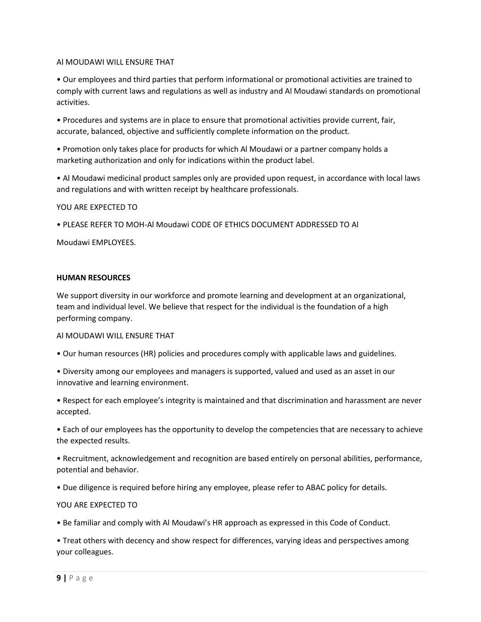#### Al MOUDAWI WILL ENSURE THAT

• Our employees and third parties that perform informational or promotional activities are trained to comply with current laws and regulations as well as industry and Al Moudawi standards on promotional activities.

• Procedures and systems are in place to ensure that promotional activities provide current, fair, accurate, balanced, objective and sufficiently complete information on the product.

• Promotion only takes place for products for which Al Moudawi or a partner company holds a marketing authorization and only for indications within the product label.

• Al Moudawi medicinal product samples only are provided upon request, in accordance with local laws and regulations and with written receipt by healthcare professionals.

YOU ARE EXPECTED TO

• PLEASE REFER TO MOH-Al Moudawi CODE OF ETHICS DOCUMENT ADDRESSED TO Al

Moudawi EMPLOYEES.

#### **HUMAN RESOURCES**

We support diversity in our workforce and promote learning and development at an organizational, team and individual level. We believe that respect for the individual is the foundation of a high performing company.

#### Al MOUDAWI WILL ENSURE THAT

- Our human resources (HR) policies and procedures comply with applicable laws and guidelines.
- Diversity among our employees and managers is supported, valued and used as an asset in our innovative and learning environment.
- Respect for each employee's integrity is maintained and that discrimination and harassment are never accepted.

• Each of our employees has the opportunity to develop the competencies that are necessary to achieve the expected results.

• Recruitment, acknowledgement and recognition are based entirely on personal abilities, performance, potential and behavior.

• Due diligence is required before hiring any employee, please refer to ABAC policy for details.

#### YOU ARE EXPECTED TO

• Be familiar and comply with Al Moudawi's HR approach as expressed in this Code of Conduct.

• Treat others with decency and show respect for differences, varying ideas and perspectives among your colleagues.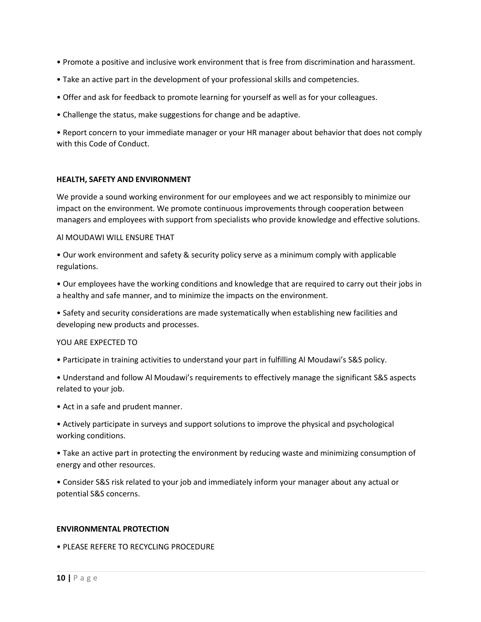- Promote a positive and inclusive work environment that is free from discrimination and harassment.
- Take an active part in the development of your professional skills and competencies.
- Offer and ask for feedback to promote learning for yourself as well as for your colleagues.
- Challenge the status, make suggestions for change and be adaptive.

• Report concern to your immediate manager or your HR manager about behavior that does not comply with this Code of Conduct.

# **HEALTH, SAFETY AND ENVIRONMENT**

We provide a sound working environment for our employees and we act responsibly to minimize our impact on the environment. We promote continuous improvements through cooperation between managers and employees with support from specialists who provide knowledge and effective solutions.

# Al MOUDAWI WILL ENSURE THAT

• Our work environment and safety & security policy serve as a minimum comply with applicable regulations.

• Our employees have the working conditions and knowledge that are required to carry out their jobs in a healthy and safe manner, and to minimize the impacts on the environment.

• Safety and security considerations are made systematically when establishing new facilities and developing new products and processes.

# YOU ARE EXPECTED TO

• Participate in training activities to understand your part in fulfilling Al Moudawi's S&S policy.

• Understand and follow Al Moudawi's requirements to effectively manage the significant S&S aspects related to your job.

• Act in a safe and prudent manner.

• Actively participate in surveys and support solutions to improve the physical and psychological working conditions.

• Take an active part in protecting the environment by reducing waste and minimizing consumption of energy and other resources.

• Consider S&S risk related to your job and immediately inform your manager about any actual or potential S&S concerns.

# **ENVIRONMENTAL PROTECTION**

• PLEASE REFERE TO RECYCLING PROCEDURE